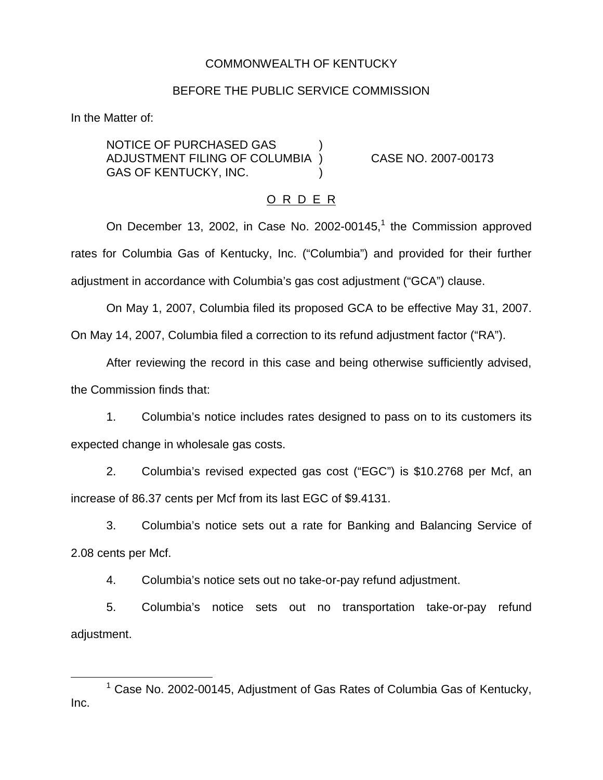# COMMONWEALTH OF KENTUCKY

#### BEFORE THE PUBLIC SERVICE COMMISSION

In the Matter of:

NOTICE OF PURCHASED GAS ) ADJUSTMENT FILING OF COLUMBIA ) CASE NO. 2007-00173 GAS OF KENTUCKY, INC.

## O R D E R

On December 13, 2002, in Case No. 2002-00145, $<sup>1</sup>$  the Commission approved</sup> rates for Columbia Gas of Kentucky, Inc. ("Columbia") and provided for their further adjustment in accordance with Columbia's gas cost adjustment ("GCA") clause.

On May 1, 2007, Columbia filed its proposed GCA to be effective May 31, 2007.

On May 14, 2007, Columbia filed a correction to its refund adjustment factor ("RA").

After reviewing the record in this case and being otherwise sufficiently advised, the Commission finds that:

1. Columbia's notice includes rates designed to pass on to its customers its expected change in wholesale gas costs.

2. Columbia's revised expected gas cost ("EGC") is \$10.2768 per Mcf, an increase of 86.37 cents per Mcf from its last EGC of \$9.4131.

3. Columbia's notice sets out a rate for Banking and Balancing Service of 2.08 cents per Mcf.

4. Columbia's notice sets out no take-or-pay refund adjustment.

5. Columbia's notice sets out no transportation take-or-pay refund adjustment.

 $1$  Case No. 2002-00145, Adjustment of Gas Rates of Columbia Gas of Kentucky, Inc.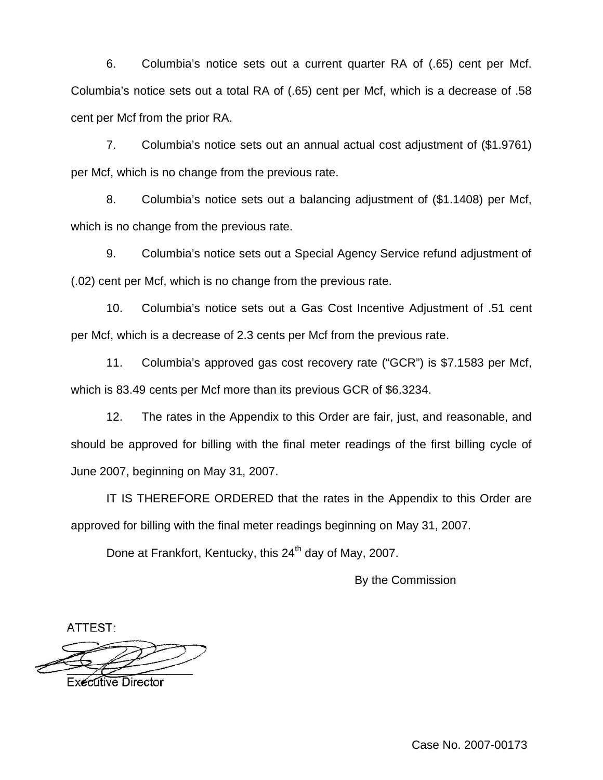6. Columbia's notice sets out a current quarter RA of (.65) cent per Mcf. Columbia's notice sets out a total RA of (.65) cent per Mcf, which is a decrease of .58 cent per Mcf from the prior RA.

7. Columbia's notice sets out an annual actual cost adjustment of (\$1.9761) per Mcf, which is no change from the previous rate.

8. Columbia's notice sets out a balancing adjustment of (\$1.1408) per Mcf, which is no change from the previous rate.

9. Columbia's notice sets out a Special Agency Service refund adjustment of (.02) cent per Mcf, which is no change from the previous rate.

10. Columbia's notice sets out a Gas Cost Incentive Adjustment of .51 cent per Mcf, which is a decrease of 2.3 cents per Mcf from the previous rate.

11. Columbia's approved gas cost recovery rate ("GCR") is \$7.1583 per Mcf, which is 83.49 cents per Mcf more than its previous GCR of \$6.3234.

12. The rates in the Appendix to this Order are fair, just, and reasonable, and should be approved for billing with the final meter readings of the first billing cycle of June 2007, beginning on May 31, 2007.

IT IS THEREFORE ORDERED that the rates in the Appendix to this Order are approved for billing with the final meter readings beginning on May 31, 2007.

Done at Frankfort, Kentucky, this 24<sup>th</sup> day of May, 2007.

By the Commission

ATTEST:

**Executive Director** 

Case No. 2007-00173